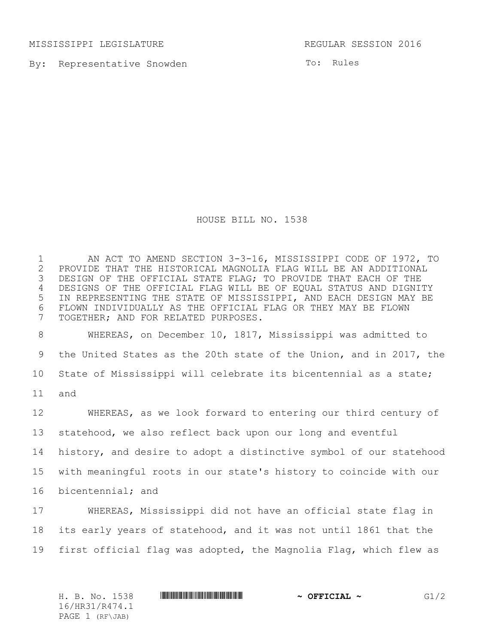MISSISSIPPI LEGISLATURE REGULAR SESSION 2016

By: Representative Snowden

To: Rules

## HOUSE BILL NO. 1538

1 AN ACT TO AMEND SECTION 3-3-16, MISSISSIPPI CODE OF 1972, TO<br>2 PROVIDE THAT THE HISTORICAL MAGNOLIA FLAG WILL BE AN ADDITIONAL 2 PROVIDE THAT THE HISTORICAL MAGNOLIA FLAG WILL BE AN ADDITIONAL<br>3 DESIGN OF THE OFFICIAL STATE FLAG; TO PROVIDE THAT EACH OF THE DESIGN OF THE OFFICIAL STATE FLAG; TO PROVIDE THAT EACH OF THE DESIGNS OF THE OFFICIAL FLAG WILL BE OF EQUAL STATUS AND DIGNITY IN REPRESENTING THE STATE OF MISSISSIPPI, AND EACH DESIGN MAY BE FLOWN INDIVIDUALLY AS THE OFFICIAL FLAG OR THEY MAY BE FLOWN TOGETHER; AND FOR RELATED PURPOSES.

 WHEREAS, on December 10, 1817, Mississippi was admitted to the United States as the 20th state of the Union, and in 2017, the State of Mississippi will celebrate its bicentennial as a state; and

 WHEREAS, as we look forward to entering our third century of statehood, we also reflect back upon our long and eventful history, and desire to adopt a distinctive symbol of our statehood with meaningful roots in our state's history to coincide with our bicentennial; and

 WHEREAS, Mississippi did not have an official state flag in its early years of statehood, and it was not until 1861 that the first official flag was adopted, the Magnolia Flag, which flew as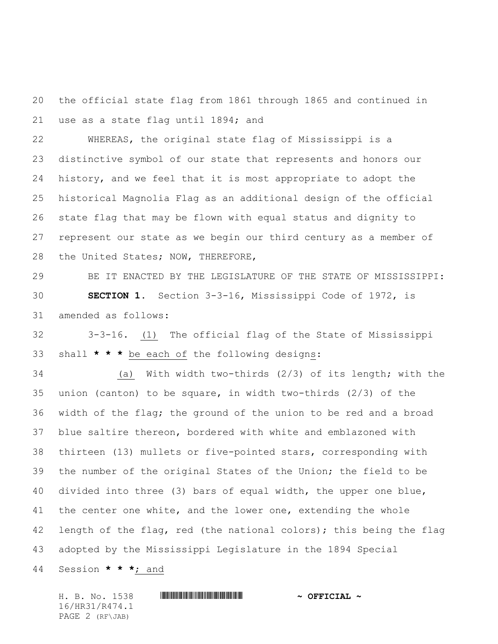the official state flag from 1861 through 1865 and continued in use as a state flag until 1894; and

 WHEREAS, the original state flag of Mississippi is a distinctive symbol of our state that represents and honors our history, and we feel that it is most appropriate to adopt the historical Magnolia Flag as an additional design of the official state flag that may be flown with equal status and dignity to represent our state as we begin our third century as a member of the United States; NOW, THEREFORE,

 BE IT ENACTED BY THE LEGISLATURE OF THE STATE OF MISSISSIPPI: **SECTION 1.** Section 3-3-16, Mississippi Code of 1972, is amended as follows:

 3-3-16. (1) The official flag of the State of Mississippi shall **\* \* \*** be each of the following designs:

 (a) With width two-thirds (2/3) of its length; with the union (canton) to be square, in width two-thirds (2/3) of the width of the flag; the ground of the union to be red and a broad blue saltire thereon, bordered with white and emblazoned with thirteen (13) mullets or five-pointed stars, corresponding with the number of the original States of the Union; the field to be divided into three (3) bars of equal width, the upper one blue, 41 the center one white, and the lower one, extending the whole 42 length of the flag, red (the national colors); this being the flag adopted by the Mississippi Legislature in the 1894 Special

Session **\* \* \***; and

H. B. No. 1538 \*HR31/R474.1\* **~ OFFICIAL ~** 16/HR31/R474.1 PAGE 2 (RF\JAB)